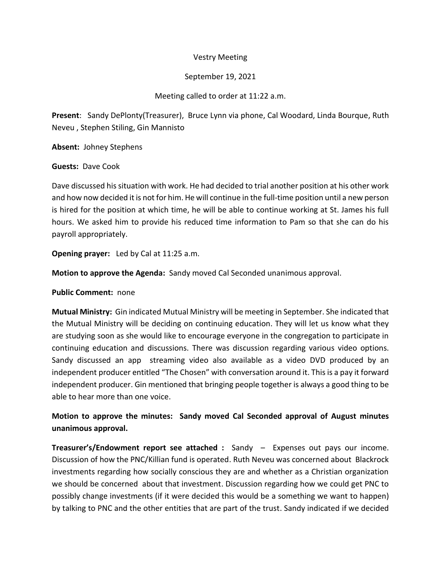# Vestry Meeting

# September 19, 2021

# Meeting called to order at 11:22 a.m.

**Present**: Sandy DePlonty(Treasurer), Bruce Lynn via phone, Cal Woodard, Linda Bourque, Ruth Neveu , Stephen Stiling, Gin Mannisto

**Absent:** Johney Stephens

# **Guests:** Dave Cook

Dave discussed hissituation with work. He had decided to trial another position at his other work and how now decided it is not for him. He will continue in the full-time position until a new person is hired for the position at which time, he will be able to continue working at St. James his full hours. We asked him to provide his reduced time information to Pam so that she can do his payroll appropriately.

**Opening prayer:** Led by Cal at 11:25 a.m.

**Motion to approve the Agenda:** Sandy moved Cal Seconded unanimous approval.

### **Public Comment:** none

**Mutual Ministry:** Gin indicated Mutual Ministry will be meeting in September. She indicated that the Mutual Ministry will be deciding on continuing education. They will let us know what they are studying soon as she would like to encourage everyone in the congregation to participate in continuing education and discussions. There was discussion regarding various video options. Sandy discussed an app streaming video also available as a video DVD produced by an independent producer entitled "The Chosen" with conversation around it. This is a pay it forward independent producer. Gin mentioned that bringing people together is always a good thing to be able to hear more than one voice.

# **Motion to approve the minutes: Sandy moved Cal Seconded approval of August minutes unanimous approval.**

**Treasurer's/Endowment report see attached :** Sandy – Expenses out pays our income. Discussion of how the PNC/Killian fund is operated. Ruth Neveu was concerned about Blackrock investments regarding how socially conscious they are and whether as a Christian organization we should be concerned about that investment. Discussion regarding how we could get PNC to possibly change investments (if it were decided this would be a something we want to happen) by talking to PNC and the other entities that are part of the trust. Sandy indicated if we decided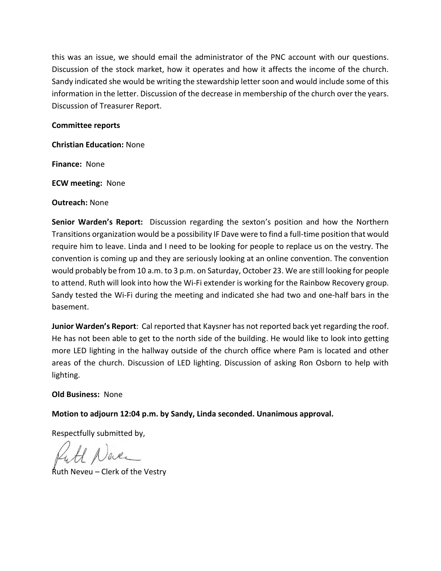this was an issue, we should email the administrator of the PNC account with our questions. Discussion of the stock market, how it operates and how it affects the income of the church. Sandy indicated she would be writing the stewardship letter soon and would include some of this information in the letter. Discussion of the decrease in membership of the church over the years. Discussion of Treasurer Report.

### **Committee reports**

**Christian Education:** None

**Finance:** None

**ECW meeting:** None

**Outreach:** None

**Senior Warden's Report:** Discussion regarding the sexton's position and how the Northern Transitions organization would be a possibility IF Dave were to find a full-time position that would require him to leave. Linda and I need to be looking for people to replace us on the vestry. The convention is coming up and they are seriously looking at an online convention. The convention would probably be from 10 a.m. to 3 p.m. on Saturday, October 23. We are still looking for people to attend. Ruth will look into how the Wi-Fi extender is working for the Rainbow Recovery group. Sandy tested the Wi-Fi during the meeting and indicated she had two and one-half bars in the basement.

**Junior Warden's Report**: Cal reported that Kaysner has not reported back yet regarding the roof. He has not been able to get to the north side of the building. He would like to look into getting more LED lighting in the hallway outside of the church office where Pam is located and other areas of the church. Discussion of LED lighting. Discussion of asking Ron Osborn to help with lighting.

### **Old Business:** None

**Motion to adjourn 12:04 p.m. by Sandy, Linda seconded. Unanimous approval.**

Respectfully submitted by,

H Naver

Ruth Neveu – Clerk of the Vestry